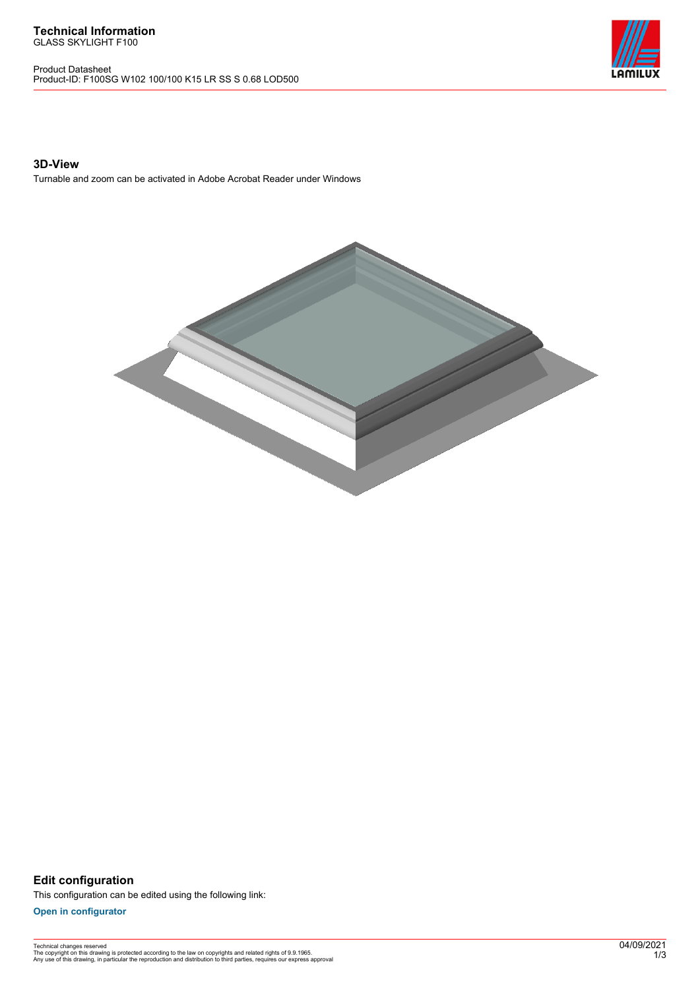Product Datasheet Product-ID: F100SG W102 100/100 K15 LR SS S 0.68 LOD500



## **3D-View**

Turnable and zoom can be activated in Adobe Acrobat Reader under Windows



**Edit configuration** This configuration can be edited using the following link:

**[Open in configurator](https://bimconfig.lamilux.com//?quickcode=LYTJAQ)**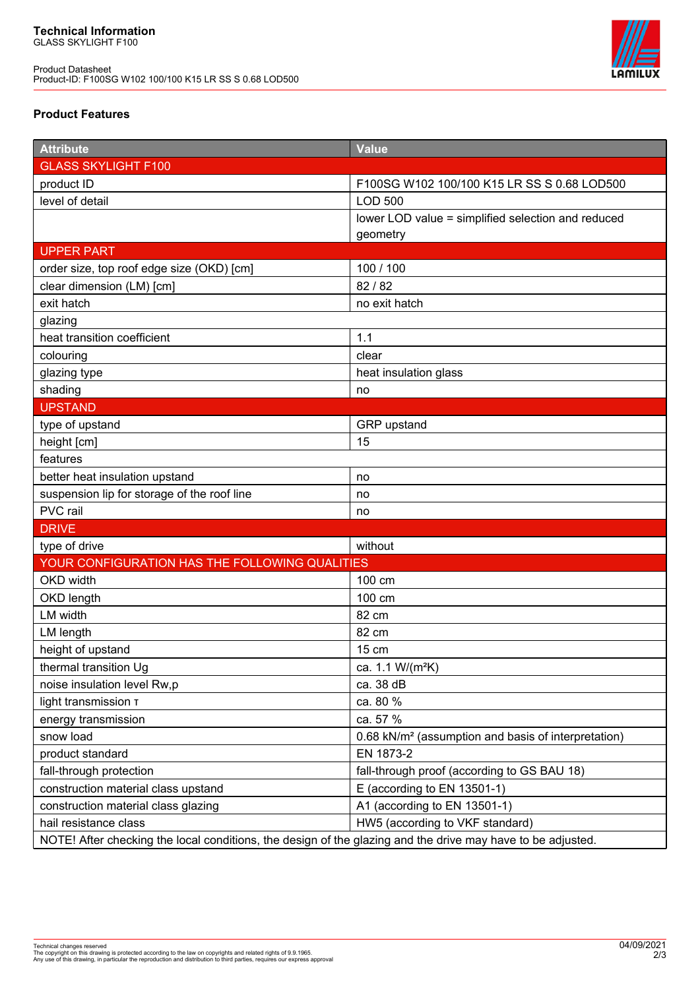Product Datasheet Product-ID: F100SG W102 100/100 K15 LR SS S 0.68 LOD500



## **Product Features**

| <b>Attribute</b>                                                                                            | <b>Value</b>                                                    |
|-------------------------------------------------------------------------------------------------------------|-----------------------------------------------------------------|
| <b>GLASS SKYLIGHT F100</b>                                                                                  |                                                                 |
| product ID                                                                                                  | F100SG W102 100/100 K15 LR SS S 0.68 LOD500                     |
| level of detail                                                                                             | <b>LOD 500</b>                                                  |
|                                                                                                             | lower LOD value = simplified selection and reduced              |
|                                                                                                             | geometry                                                        |
| <b>UPPER PART</b>                                                                                           |                                                                 |
| order size, top roof edge size (OKD) [cm]                                                                   | 100 / 100                                                       |
| clear dimension (LM) [cm]                                                                                   | 82 / 82                                                         |
| exit hatch                                                                                                  | no exit hatch                                                   |
| glazing                                                                                                     |                                                                 |
| heat transition coefficient                                                                                 | 1.1                                                             |
| colouring                                                                                                   | clear                                                           |
| glazing type                                                                                                | heat insulation glass                                           |
| shading                                                                                                     | no                                                              |
| <b>UPSTAND</b>                                                                                              |                                                                 |
| type of upstand                                                                                             | GRP upstand                                                     |
| height [cm]                                                                                                 | 15                                                              |
| features                                                                                                    |                                                                 |
| better heat insulation upstand                                                                              | no                                                              |
| suspension lip for storage of the roof line                                                                 | no                                                              |
| PVC rail                                                                                                    | no                                                              |
| <b>DRIVE</b>                                                                                                |                                                                 |
| type of drive                                                                                               | without                                                         |
| YOUR CONFIGURATION HAS THE FOLLOWING QUALITIES                                                              |                                                                 |
| OKD width                                                                                                   | 100 cm                                                          |
| OKD length                                                                                                  | 100 cm                                                          |
| LM width                                                                                                    | 82 cm                                                           |
| LM length                                                                                                   | 82 cm                                                           |
| height of upstand                                                                                           | 15 cm                                                           |
| thermal transition Ug                                                                                       | ca. 1.1 W/(m <sup>2</sup> K)                                    |
| noise insulation level Rw,p                                                                                 | ca. 38 dB                                                       |
| light transmission T                                                                                        | ca. 80 %                                                        |
| energy transmission                                                                                         | ca. 57 %                                                        |
| snow load                                                                                                   | 0.68 kN/m <sup>2</sup> (assumption and basis of interpretation) |
| product standard                                                                                            | EN 1873-2                                                       |
| fall-through protection                                                                                     | fall-through proof (according to GS BAU 18)                     |
| construction material class upstand                                                                         | E (according to EN 13501-1)                                     |
| construction material class glazing                                                                         | A1 (according to EN 13501-1)                                    |
| hail resistance class                                                                                       | HW5 (according to VKF standard)                                 |
| NOTE! After checking the local conditions, the design of the glazing and the drive may have to be adjusted. |                                                                 |